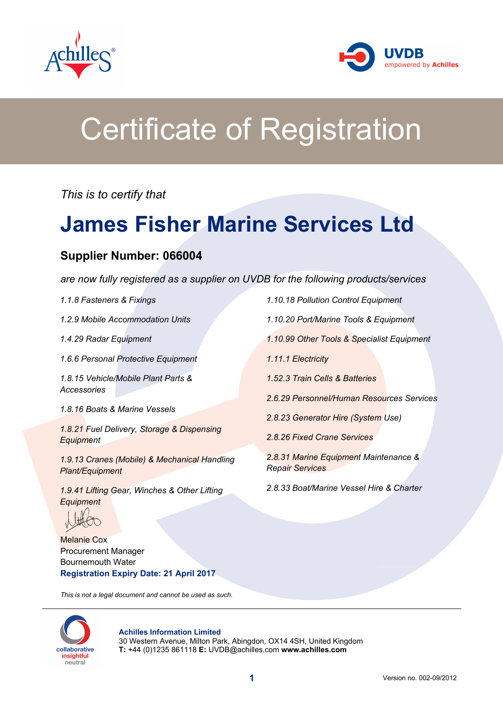



# Certificate of Registration

*This is to certify that*

## **James Fisher Marine Services Ltd**

### **Supplier Number: 066004**

*are now fully registered as a supplier on UVDB for the following products/services*

*1.1.8 Fasteners & Fixings*

*1.2.9 Mobile Accommodation Units*

*1.4.29 Radar Equipment*

*1.6.6 Personal Protective Equipment*

*1.8.15 Vehicle/Mobile Plant Parts & Accessories*

*1.8.16 Boats & Marine Vessels*

*1.8.21 Fuel Delivery, Storage & Dispensing Equipment*

*1.9.13 Cranes (Mobile) & Mechanical Handling Plant/Equipment*

*1.9.41 Lifting Gear, Winches & Other Lifting Equipment*

Melanie Cox Procurement Manager Bournemouth Water **Registration Expiry Date: 21 April 2017**

*This is not a legal document and cannot be used as such.*



#### **Achilles Information Limited**

30 Western Avenue, Milton Park, Abingdon, OX14 4SH, United Kingdom **T:** +44 (0)1235 861118 **E:** UVDB@achilles.com **www.achilles.com**

*1.10.18 Pollution Control Equipment 1.10.20 Port/Marine Tools & Equipment 1.10.99 Other Tools & Specialist Equipment 1.11.1 Electricity 1.52.3 Train Cells & Batteries 2.6.29 Personnel/Human Resources Services 2.8.23 Generator Hire (System Use) 2.8.26 Fixed Crane Services 2.8.31 Marine Equipment Maintenance & Repair Services*

*2.8.33 Boat/Marine Vessel Hire & Charter*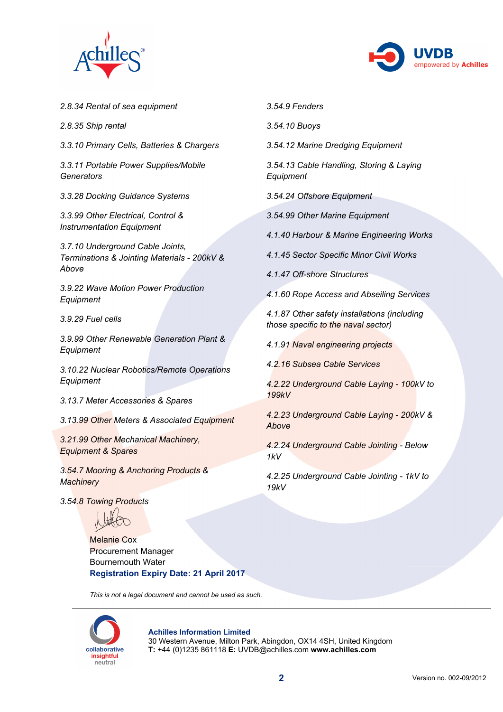



*2.8.34 Rental of sea equipment*

- *2.8.35 Ship rental*
- *3.3.10 Primary Cells, Batteries & Chargers*

*3.3.11 Portable Power Supplies/Mobile Generators*

*3.3.28 Docking Guidance Systems*

*3.3.99 Other Electrical, Control & Instrumentation Equipment*

*3.7.10 Underground Cable Joints, Terminations & Jointing Materials - 200kV & Above*

*3.9.22 Wave Motion Power Production Equipment*

*3.9.29 Fuel cells*

*3.9.99 Other Renewable Generation Plant & Equipment*

*3.10.22 Nuclear Robotics/Remote Operations Equipment*

*3.13.7 Meter Accessories & Spares*

*3.13.99 Other Meters & Associated Equipment*

*3.21.99 Other Mechanical Machinery, Equipment & Spares*

*3.54.7 Mooring & Anchoring Products & Machinery*

*3.54.8 Towing Products*

Melanie Cox Procurement Manager Bournemouth Water **Registration Expiry Date: 21 April 2017**

*This is not a legal document and cannot be used as such.*



#### **Achilles Information Limited**

30 Western Avenue, Milton Park, Abingdon, OX14 4SH, United Kingdom **T:** +44 (0)1235 861118 **E:** UVDB@achilles.com **www.achilles.com**

- *3.54.9 Fenders*
- *3.54.10 Buoys*
- *3.54.12 Marine Dredging Equipment*

*3.54.13 Cable Handling, Storing & Laying Equipment*

*3.54.24 Offshore Equipment*

*3.54.99 Other Marine Equipment*

*4.1.40 Harbour & Marine Engineering Works*

*4.1.45 Sector Specific Minor Civil Works*

*4.1.47 Off-shore Structures*

*4.1.60 Rope Access and Abseiling Services*

*4.1.87 Other safety installations (including those specific to the naval sector)*

*4.1.91 Naval engineering projects*

*4.2.16 Subsea Cable Services*

*4.2.22 Underground Cable Laying - 100kV to 199kV*

*4.2.23 Underground Cable Laying - 200kV & Above*

*4.2.24 Underground Cable Jointing - Below 1kV*

*4.2.25 Underground Cable Jointing - 1kV to 19kV*